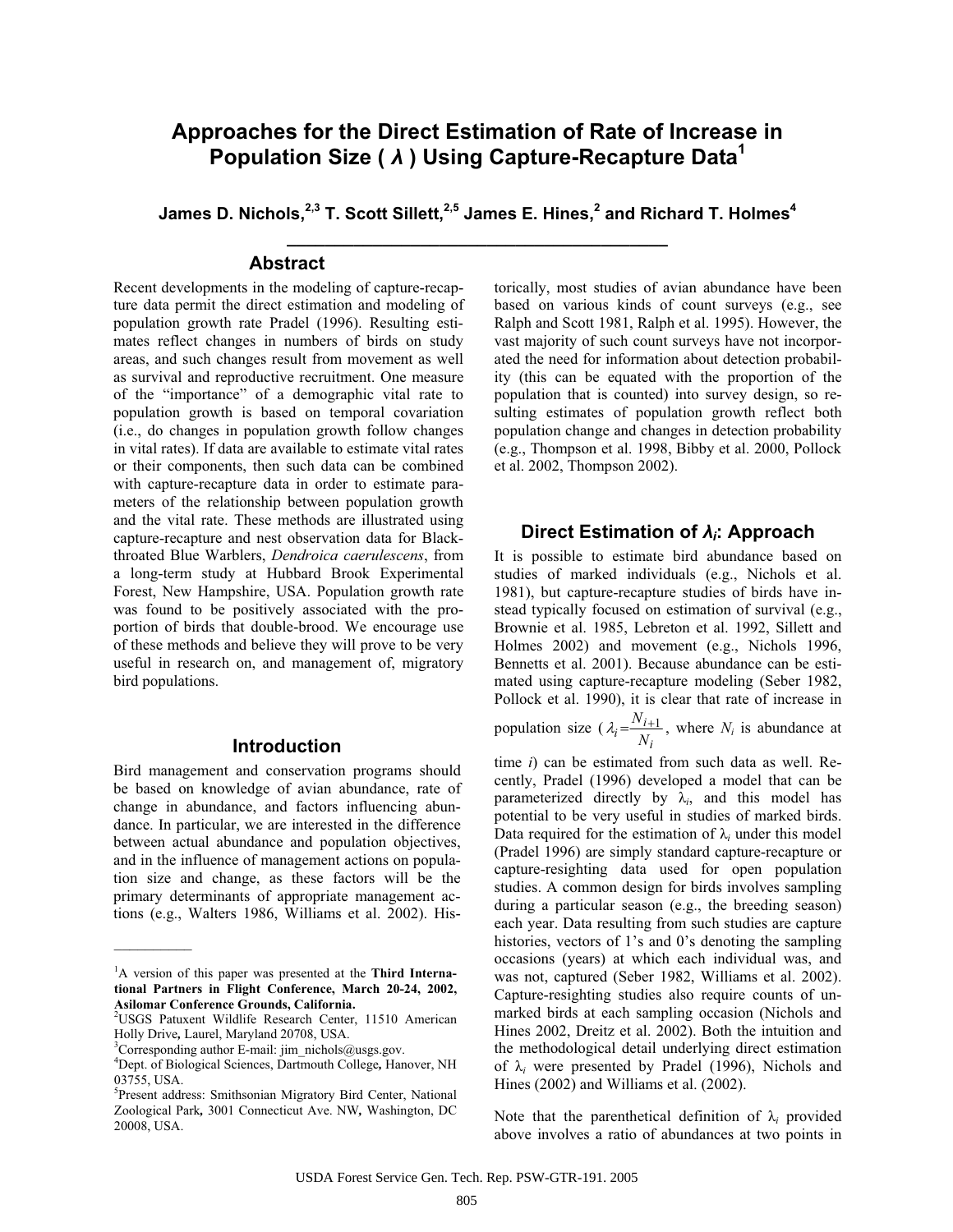# **Approaches for the Direct Estimation of Rate of Increase in Population Size (** *Ȝ* **) Using Capture-Recapture Data<sup>1</sup>**

James D. Nichols,<sup>2,3</sup> T. Scott Sillett,<sup>2,5</sup> James E. Hines,<sup>2</sup> and Richard T. Holmes<sup>4</sup> **\_\_\_\_\_\_\_\_\_\_\_\_\_\_\_\_\_\_\_\_\_\_\_\_\_\_\_\_\_\_\_\_\_\_\_\_\_\_\_\_**

### **Abstract**

Recent developments in the modeling of capture-recapture data permit the direct estimation and modeling of population growth rate Pradel (1996). Resulting estimates reflect changes in numbers of birds on study areas, and such changes result from movement as well as survival and reproductive recruitment. One measure of the "importance" of a demographic vital rate to population growth is based on temporal covariation (i.e., do changes in population growth follow changes in vital rates). If data are available to estimate vital rates or their components, then such data can be combined with capture-recapture data in order to estimate parameters of the relationship between population growth and the vital rate. These methods are illustrated using capture-recapture and nest observation data for Blackthroated Blue Warblers, *Dendroica caerulescens*, from a long-term study at Hubbard Brook Experimental Forest, New Hampshire, USA. Population growth rate was found to be positively associated with the proportion of birds that double-brood. We encourage use of these methods and believe they will prove to be very useful in research on, and management of, migratory bird populations.

### **Introduction**

Bird management and conservation programs should be based on knowledge of avian abundance, rate of change in abundance, and factors influencing abundance. In particular, we are interested in the difference between actual abundance and population objectives, and in the influence of management actions on population size and change, as these factors will be the primary determinants of appropriate management actions (e.g., Walters 1986, Williams et al. 2002). His-

 $\mathcal{L}$  and  $\mathcal{L}$ 

torically, most studies of avian abundance have been based on various kinds of count surveys (e.g., see Ralph and Scott 1981, Ralph et al. 1995). However, the vast majority of such count surveys have not incorporated the need for information about detection probability (this can be equated with the proportion of the population that is counted) into survey design, so resulting estimates of population growth reflect both population change and changes in detection probability (e.g., Thompson et al. 1998, Bibby et al. 2000, Pollock et al. 2002, Thompson 2002).

### **Direct Estimation of** *Ȝi***: Approach**

It is possible to estimate bird abundance based on studies of marked individuals (e.g., Nichols et al. 1981), but capture-recapture studies of birds have instead typically focused on estimation of survival (e.g., Brownie et al. 1985, Lebreton et al. 1992, Sillett and Holmes 2002) and movement (e.g., Nichols 1996, Bennetts et al. 2001). Because abundance can be estimated using capture-recapture modeling (Seber 1982, Pollock et al. 1990), it is clear that rate of increase in

population size ( *i*  $\lambda_i = \frac{N_{i+1}}{N_i}$ , where *N<sub>i</sub>* is abundance at

time *i*) can be estimated from such data as well. Recently, Pradel (1996) developed a model that can be parameterized directly by  $\lambda_i$ , and this model has potential to be very useful in studies of marked birds. Data required for the estimation of  $\lambda_i$  under this model (Pradel 1996) are simply standard capture-recapture or capture-resighting data used for open population studies. A common design for birds involves sampling during a particular season (e.g., the breeding season) each year. Data resulting from such studies are capture histories, vectors of 1's and 0's denoting the sampling occasions (years) at which each individual was, and was not, captured (Seber 1982, Williams et al. 2002). Capture-resighting studies also require counts of unmarked birds at each sampling occasion (Nichols and Hines 2002, Dreitz et al. 2002). Both the intuition and the methodological detail underlying direct estimation of  $\lambda_i$  were presented by Pradel (1996), Nichols and Hines (2002) and Williams et al. (2002).

Note that the parenthetical definition of  $\lambda_i$  provided above involves a ratio of abundances at two points in

<sup>&</sup>lt;sup>1</sup>A version of this paper was presented at the **Third International Partners in Flight Conference, March 20-24, 2002, Asilomar Conference Grounds, California.**  2 USGS Patuxent Wildlife Research Center, 11510 American

Holly Drive*,* Laurel, Maryland 20708, USA. 3

<sup>&</sup>lt;sup>3</sup>Corresponding author E-mail: jim\_nichols@usgs.gov.

<sup>4</sup> Dept. of Biological Sciences, Dartmouth College*,* Hanover, NH 03755, USA.

<sup>5</sup> Present address: Smithsonian Migratory Bird Center, National Zoological Park*,* 3001 Connecticut Ave. NW*,* Washington, DC 20008, USA.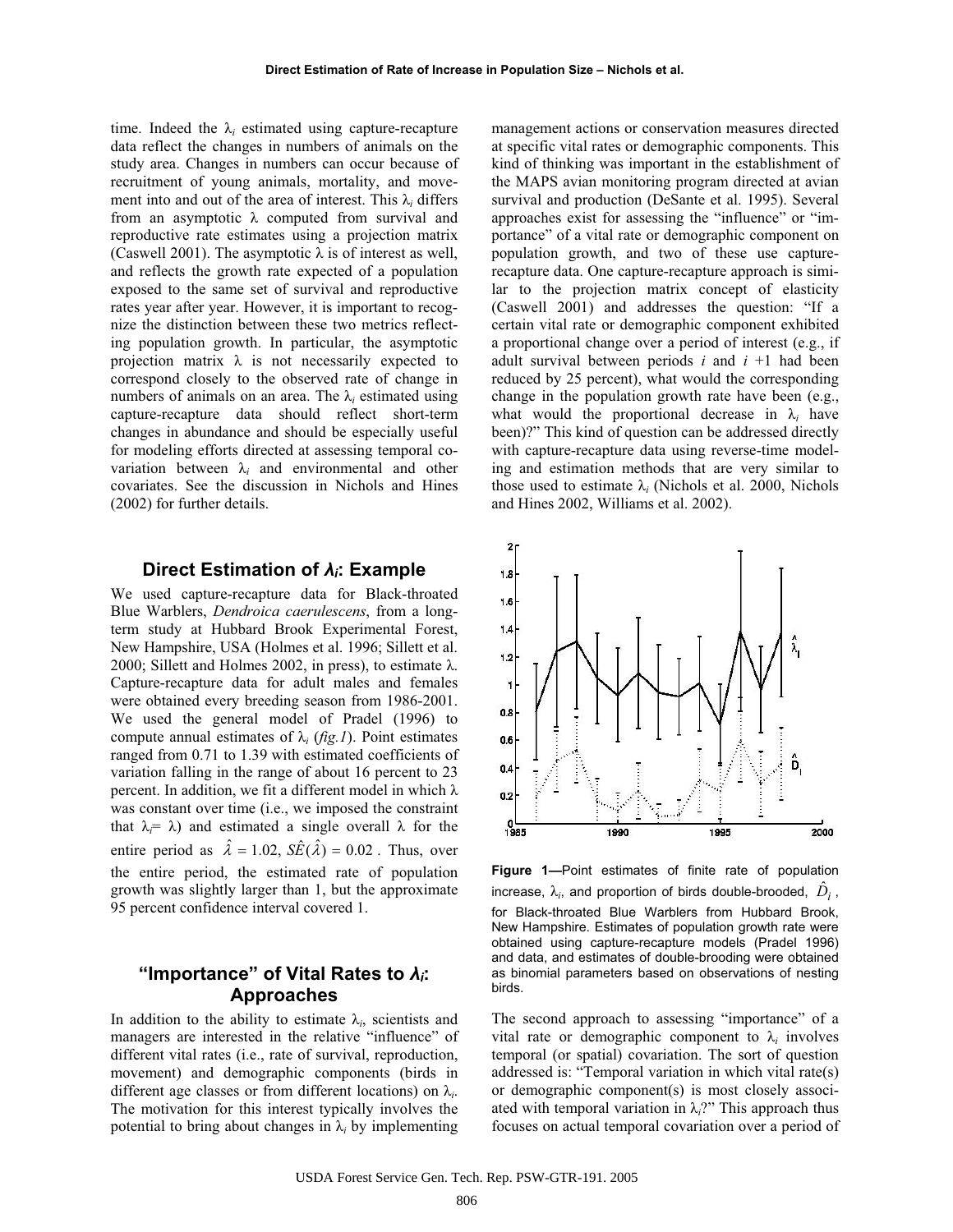time. Indeed the  $\lambda_i$  estimated using capture-recapture data reflect the changes in numbers of animals on the study area. Changes in numbers can occur because of recruitment of young animals, mortality, and movement into and out of the area of interest. This  $\lambda_i$  differs from an asymptotic  $\lambda$  computed from survival and reproductive rate estimates using a projection matrix (Caswell 2001). The asymptotic  $\lambda$  is of interest as well, and reflects the growth rate expected of a population exposed to the same set of survival and reproductive rates year after year. However, it is important to recognize the distinction between these two metrics reflecting population growth. In particular, the asymptotic projection matrix  $\lambda$  is not necessarily expected to correspond closely to the observed rate of change in numbers of animals on an area. The  $\lambda_i$  estimated using capture-recapture data should reflect short-term changes in abundance and should be especially useful for modeling efforts directed at assessing temporal covariation between  $\lambda_i$  and environmental and other covariates. See the discussion in Nichols and Hines (2002) for further details.

### **Direct Estimation of** *Ȝi***: Example**

We used capture-recapture data for Black-throated Blue Warblers, *Dendroica caerulescens*, from a longterm study at Hubbard Brook Experimental Forest, New Hampshire, USA (Holmes et al. 1996; Sillett et al. 2000; Sillett and Holmes 2002, in press), to estimate  $\lambda$ . Capture-recapture data for adult males and females were obtained every breeding season from 1986-2001. We used the general model of Pradel (1996) to compute annual estimates of  $\lambda_i$  (*fig.1*). Point estimates ranged from 0.71 to 1.39 with estimated coefficients of variation falling in the range of about 16 percent to 23 percent. In addition, we fit a different model in which  $\lambda$ was constant over time (i.e., we imposed the constraint that  $\lambda_i = \lambda$ ) and estimated a single overall  $\lambda$  for the entire period as  $\hat{\lambda} = 1.02$ ,  $S\hat{E}(\hat{\lambda}) = 0.02$ . Thus, over the entire period, the estimated rate of population growth was slightly larger than 1, but the approximate 95 percent confidence interval covered 1.

## **"Importance" of Vital Rates to** *Ȝi***: Approaches**

In addition to the ability to estimate  $\lambda_i$ , scientists and managers are interested in the relative "influence" of different vital rates (i.e., rate of survival, reproduction, movement) and demographic components (birds in different age classes or from different locations) on  $\lambda_i$ . The motivation for this interest typically involves the potential to bring about changes in  $\lambda_i$  by implementing

management actions or conservation measures directed at specific vital rates or demographic components. This kind of thinking was important in the establishment of the MAPS avian monitoring program directed at avian survival and production (DeSante et al. 1995). Several approaches exist for assessing the "influence" or "importance" of a vital rate or demographic component on population growth, and two of these use capturerecapture data. One capture-recapture approach is similar to the projection matrix concept of elasticity (Caswell 2001) and addresses the question: "If a certain vital rate or demographic component exhibited a proportional change over a period of interest (e.g., if adult survival between periods *i* and *i* +1 had been reduced by 25 percent), what would the corresponding change in the population growth rate have been (e.g., what would the proportional decrease in  $\lambda_i$  have been)?" This kind of question can be addressed directly with capture-recapture data using reverse-time modeling and estimation methods that are very similar to those used to estimate  $\lambda_i$  (Nichols et al. 2000, Nichols and Hines 2002, Williams et al. 2002).



**Figure 1—**Point estimates of finite rate of population increase,  $\lambda_i$ , and proportion of birds double-brooded,  $\hat{D}_i$  , for Black-throated Blue Warblers from Hubbard Brook, New Hampshire. Estimates of population growth rate were obtained using capture-recapture models (Pradel 1996) and data, and estimates of double-brooding were obtained as binomial parameters based on observations of nesting birds.

The second approach to assessing "importance" of a vital rate or demographic component to  $\lambda_i$  involves temporal (or spatial) covariation. The sort of question addressed is: "Temporal variation in which vital rate(s) or demographic component(s) is most closely associated with temporal variation in  $\lambda_i$ ?" This approach thus focuses on actual temporal covariation over a period of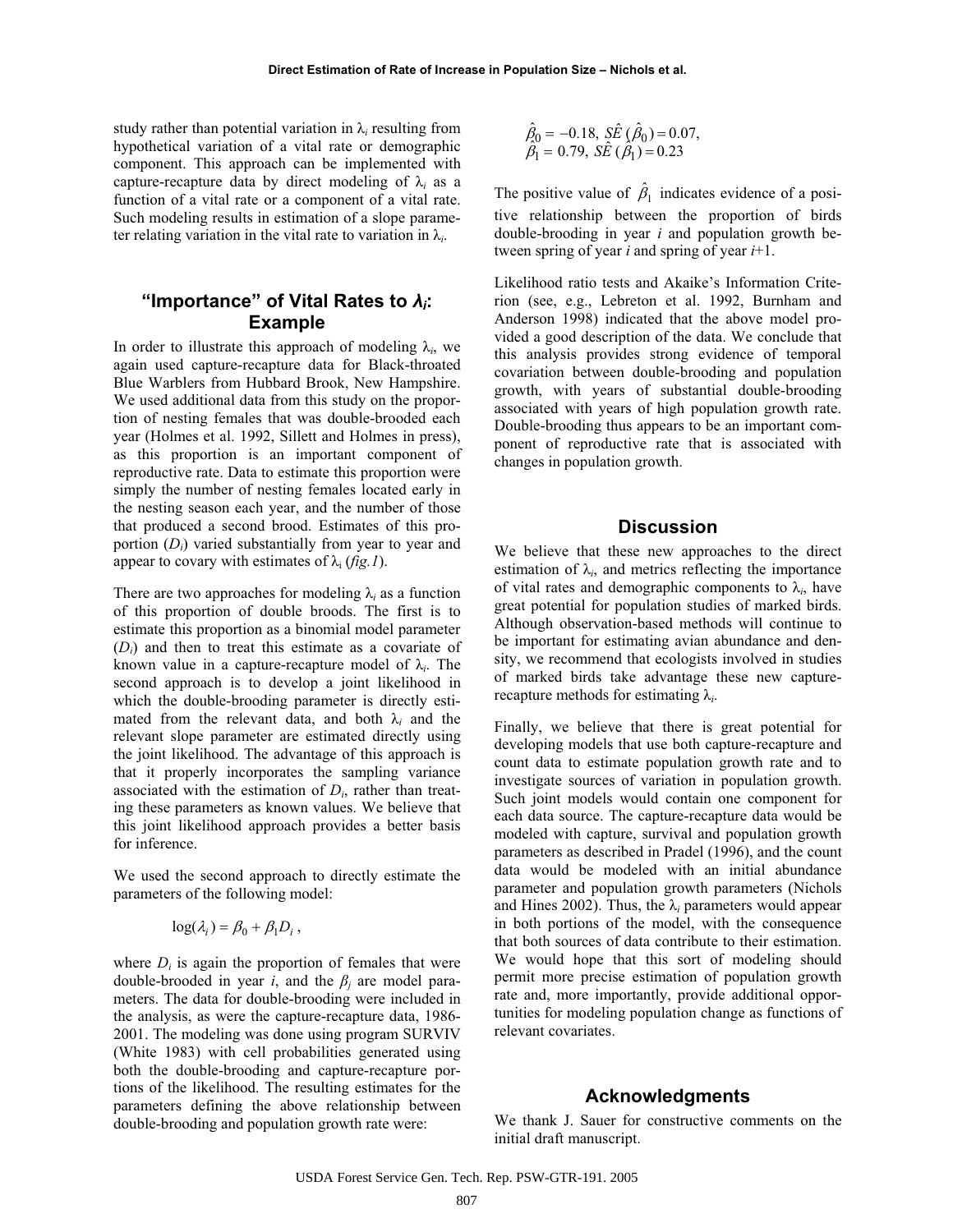study rather than potential variation in  $\lambda_i$  resulting from hypothetical variation of a vital rate or demographic component. This approach can be implemented with capture-recapture data by direct modeling of  $\lambda_i$  as a function of a vital rate or a component of a vital rate. Such modeling results in estimation of a slope parameter relating variation in the vital rate to variation in  $\lambda_i$ .

## **"Importance" of Vital Rates to** *Ȝi***: Example**

In order to illustrate this approach of modeling  $\lambda_i$ , we again used capture-recapture data for Black-throated Blue Warblers from Hubbard Brook, New Hampshire. We used additional data from this study on the proportion of nesting females that was double-brooded each year (Holmes et al. 1992, Sillett and Holmes in press), as this proportion is an important component of reproductive rate. Data to estimate this proportion were simply the number of nesting females located early in the nesting season each year, and the number of those that produced a second brood. Estimates of this proportion (*Di*) varied substantially from year to year and appear to covary with estimates of  $\lambda_i$  (*fig.1*).

There are two approaches for modeling  $\lambda_i$  as a function of this proportion of double broods. The first is to estimate this proportion as a binomial model parameter (*Di*) and then to treat this estimate as a covariate of known value in a capture-recapture model of  $\lambda_i$ . The second approach is to develop a joint likelihood in which the double-brooding parameter is directly estimated from the relevant data, and both  $\lambda_i$  and the relevant slope parameter are estimated directly using the joint likelihood. The advantage of this approach is that it properly incorporates the sampling variance associated with the estimation of *Di*, rather than treating these parameters as known values. We believe that this joint likelihood approach provides a better basis for inference.

We used the second approach to directly estimate the parameters of the following model:

$$
\log(\lambda_i) = \beta_0 + \beta_1 D_i,
$$

where  $D_i$  is again the proportion of females that were double-brooded in year *i*, and the  $\beta_i$  are model parameters. The data for double-brooding were included in the analysis, as were the capture-recapture data, 1986- 2001. The modeling was done using program SURVIV (White 1983) with cell probabilities generated using both the double-brooding and capture-recapture portions of the likelihood. The resulting estimates for the parameters defining the above relationship between double-brooding and population growth rate were:

$$
\hat{\beta}_0 = -0.18, \ \Sigma \hat{E} \ (\hat{\beta}_0) = 0.07, \n\hat{\beta}_1 = 0.79, \ \Sigma \hat{E} \ (\hat{\beta}_1) = 0.23
$$

The positive value of  $\hat{\beta}_1$  indicates evidence of a positive relationship between the proportion of birds double-brooding in year *i* and population growth between spring of year *i* and spring of year *i*+1.

Likelihood ratio tests and Akaike's Information Criterion (see, e.g., Lebreton et al. 1992, Burnham and Anderson 1998) indicated that the above model provided a good description of the data. We conclude that this analysis provides strong evidence of temporal covariation between double-brooding and population growth, with years of substantial double-brooding associated with years of high population growth rate. Double-brooding thus appears to be an important component of reproductive rate that is associated with changes in population growth.

#### **Discussion**

We believe that these new approaches to the direct estimation of  $\lambda_i$ , and metrics reflecting the importance of vital rates and demographic components to  $\lambda_i$ , have great potential for population studies of marked birds. Although observation-based methods will continue to be important for estimating avian abundance and density, we recommend that ecologists involved in studies of marked birds take advantage these new capturerecapture methods for estimating  $\lambda_i$ .

Finally, we believe that there is great potential for developing models that use both capture-recapture and count data to estimate population growth rate and to investigate sources of variation in population growth. Such joint models would contain one component for each data source. The capture-recapture data would be modeled with capture, survival and population growth parameters as described in Pradel (1996), and the count data would be modeled with an initial abundance parameter and population growth parameters (Nichols and Hines 2002). Thus, the  $\lambda_i$  parameters would appear in both portions of the model, with the consequence that both sources of data contribute to their estimation. We would hope that this sort of modeling should permit more precise estimation of population growth rate and, more importantly, provide additional opportunities for modeling population change as functions of relevant covariates.

### **Acknowledgments**

We thank J. Sauer for constructive comments on the initial draft manuscript.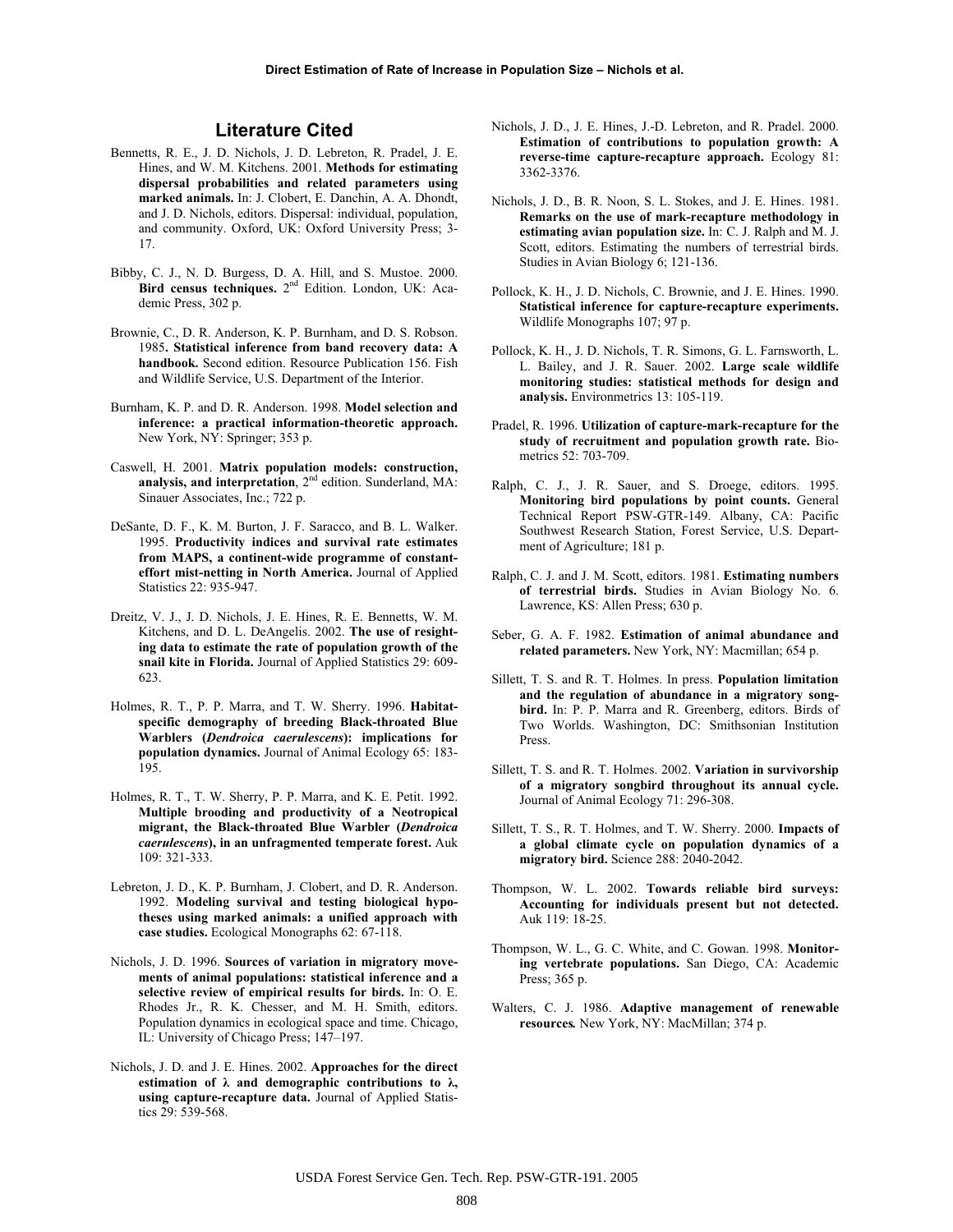### **Literature Cited**

- Bennetts, R. E., J. D. Nichols, J. D. Lebreton, R. Pradel, J. E. Hines, and W. M. Kitchens. 2001. **Methods for estimating dispersal probabilities and related parameters using marked animals.** In: J. Clobert, E. Danchin, A. A. Dhondt, and J. D. Nichols, editors. Dispersal: individual, population, and community. Oxford, UK: Oxford University Press; 3- 17.
- Bibby, C. J., N. D. Burgess, D. A. Hill, and S. Mustoe. 2000. Bird census techniques. 2<sup>nd</sup> Edition. London, UK: Academic Press, 302 p.
- Brownie, C., D. R. Anderson, K. P. Burnham, and D. S. Robson. 1985**. Statistical inference from band recovery data: A handbook.** Second edition. Resource Publication 156. Fish and Wildlife Service, U.S. Department of the Interior.
- Burnham, K. P. and D. R. Anderson. 1998. **Model selection and inference: a practical information-theoretic approach.** New York, NY: Springer; 353 p.
- Caswell, H. 2001. **Matrix population models: construction,**  analysis, and interpretation, 2<sup>nd</sup> edition. Sunderland, MA: Sinauer Associates, Inc.; 722 p.
- DeSante, D. F., K. M. Burton, J. F. Saracco, and B. L. Walker. 1995. **Productivity indices and survival rate estimates from MAPS, a continent-wide programme of constanteffort mist-netting in North America.** Journal of Applied Statistics 22: 935-947.
- Dreitz, V. J., J. D. Nichols, J. E. Hines, R. E. Bennetts, W. M. Kitchens, and D. L. DeAngelis. 2002. **The use of resighting data to estimate the rate of population growth of the snail kite in Florida.** Journal of Applied Statistics 29: 609- 623.
- Holmes, R. T., P. P. Marra, and T. W. Sherry. 1996. **Habitatspecific demography of breeding Black-throated Blue Warblers (***Dendroica caerulescens***): implications for population dynamics.** Journal of Animal Ecology 65: 183- 195.
- Holmes, R. T., T. W. Sherry, P. P. Marra, and K. E. Petit. 1992. **Multiple brooding and productivity of a Neotropical migrant, the Black-throated Blue Warbler (***Dendroica caerulescens***), in an unfragmented temperate forest.** Auk 109: 321-333.
- Lebreton, J. D., K. P. Burnham, J. Clobert, and D. R. Anderson. 1992. **Modeling survival and testing biological hypotheses using marked animals: a unified approach with case studies.** Ecological Monographs 62: 67-118.
- Nichols, J. D. 1996. **Sources of variation in migratory movements of animal populations: statistical inference and a selective review of empirical results for birds.** In: O. E. Rhodes Jr., R. K. Chesser, and M. H. Smith, editors. Population dynamics in ecological space and time. Chicago, IL: University of Chicago Press; 147–197.
- Nichols, J. D. and J. E. Hines. 2002. **Approaches for the direct**  estimation of  $\lambda$  and demographic contributions to  $\lambda$ , **using capture-recapture data.** Journal of Applied Statistics 29: 539-568.
- Nichols, J. D., J. E. Hines, J.-D. Lebreton, and R. Pradel. 2000. **Estimation of contributions to population growth: A reverse-time capture-recapture approach.** Ecology 81: 3362-3376.
- Nichols, J. D., B. R. Noon, S. L. Stokes, and J. E. Hines. 1981. **Remarks on the use of mark-recapture methodology in estimating avian population size.** In: C. J. Ralph and M. J. Scott, editors. Estimating the numbers of terrestrial birds. Studies in Avian Biology 6; 121-136.
- Pollock, K. H., J. D. Nichols, C. Brownie, and J. E. Hines. 1990. **Statistical inference for capture-recapture experiments.**  Wildlife Monographs 107; 97 p.
- Pollock, K. H., J. D. Nichols, T. R. Simons, G. L. Farnsworth, L. L. Bailey, and J. R. Sauer. 2002. **Large scale wildlife monitoring studies: statistical methods for design and analysis.** Environmetrics 13: 105-119.
- Pradel, R. 1996. **Utilization of capture-mark-recapture for the study of recruitment and population growth rate.** Biometrics 52: 703-709.
- Ralph, C. J., J. R. Sauer, and S. Droege, editors. 1995. **Monitoring bird populations by point counts.** General Technical Report PSW-GTR-149. Albany, CA: Pacific Southwest Research Station, Forest Service, U.S. Department of Agriculture; 181 p.
- Ralph, C. J. and J. M. Scott, editors. 1981. **Estimating numbers of terrestrial birds.** Studies in Avian Biology No. 6. Lawrence, KS: Allen Press; 630 p.
- Seber, G. A. F. 1982. **Estimation of animal abundance and related parameters.** New York, NY: Macmillan; 654 p.
- Sillett, T. S. and R. T. Holmes. In press. **Population limitation and the regulation of abundance in a migratory songbird.** In: P. P. Marra and R. Greenberg, editors. Birds of Two Worlds. Washington, DC: Smithsonian Institution Press.
- Sillett, T. S. and R. T. Holmes. 2002. **Variation in survivorship of a migratory songbird throughout its annual cycle.**  Journal of Animal Ecology 71: 296-308.
- Sillett, T. S., R. T. Holmes, and T. W. Sherry. 2000. **Impacts of a global climate cycle on population dynamics of a migratory bird.** Science 288: 2040-2042.
- Thompson, W. L. 2002. **Towards reliable bird surveys: Accounting for individuals present but not detected.**  Auk 119: 18-25.
- Thompson, W. L., G. C. White, and C. Gowan. 1998. **Monitoring vertebrate populations.** San Diego, CA: Academic Press; 365 p.
- Walters, C. J. 1986. **Adaptive management of renewable resources***.* New York, NY: MacMillan; 374 p.